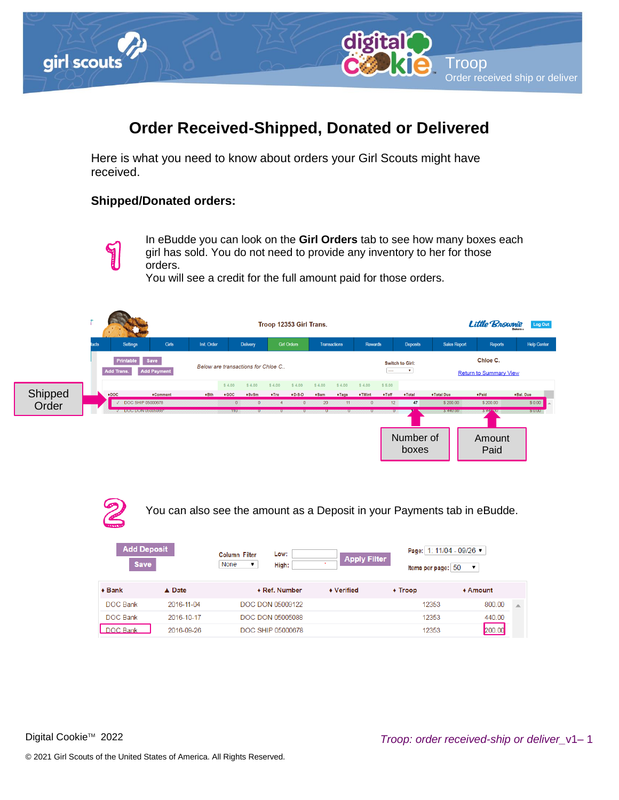

## **Order Received-Shipped, Donated or Delivered**

Here is what you need to know about orders your Girl Scouts might have received.

## <span id="page-0-0"></span>**Shipped/Donated orders:**



In eBudde you can look on the **Girl Orders** tab to see how many boxes each girl has sold. You do not need to provide any inventory to her for those orders.

You will see a credit for the full amount paid for those orders.





You can also see the amount as a Deposit in your Payments tab in eBudde.

| <b>Add Deposit</b><br><b>Save</b> |                  | Low:<br><b>Column Filter</b><br>None<br>High:<br>▼ | <b>Apply Filter</b> | Page: 1: 11/04 - 09/26 ▼<br>Items per page: 50<br>$\overline{\mathbf{v}}$ |            |  |  |
|-----------------------------------|------------------|----------------------------------------------------|---------------------|---------------------------------------------------------------------------|------------|--|--|
| $\triangle$ Bank                  | $\triangle$ Date | ◆ Ref. Number                                      | ◆ Verified          | $\triangle$ Troop                                                         | $*$ Amount |  |  |
| DOC Bank                          | 2016-11-04       | DOC DON 05009122                                   |                     | 12353                                                                     | 800.00     |  |  |
| <b>DOC Bank</b>                   | 2016-10-17       | <b>DOC DON 05005088</b>                            |                     | 12353                                                                     | 440.00     |  |  |
| <b>DOC Bank</b>                   | 2016-09-26       | DOC SHIP 05000678                                  |                     | 12353                                                                     | 200.00     |  |  |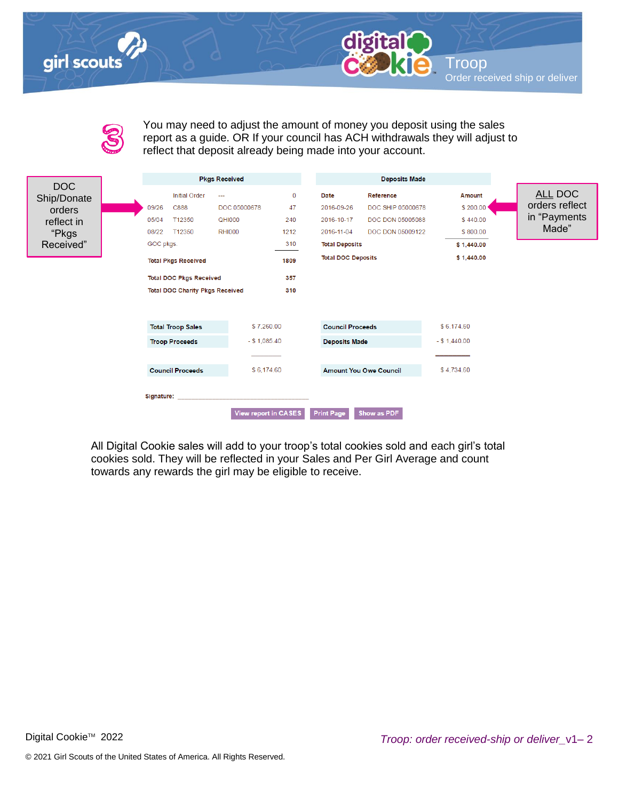## girl scouts



| æ   |
|-----|
|     |
| ٠   |
|     |
|     |
|     |
| om. |
|     |

You may need to adjust the amount of money you deposit using the sales report as a guide. OR If your council has ACH withdrawals they will adjust to reflect that deposit already being made into your account.

|                           |                                                                              |                                        | <b>Pkgs Received</b> |             |                           | <b>Deposits Made</b>          |               |  |                |
|---------------------------|------------------------------------------------------------------------------|----------------------------------------|----------------------|-------------|---------------------------|-------------------------------|---------------|--|----------------|
| <b>DOC</b><br>Ship/Donate |                                                                              | <b>Initial Order</b>                   | ---                  | $\mathbf 0$ | <b>Date</b>               | Reference                     | <b>Amount</b> |  | ALL DOC        |
| orders                    | 09/26                                                                        | C888                                   | DOC 05000678         | 47          | 2016-09-26                | DOC SHIP 05000678             | \$200.00      |  | orders reflect |
| reflect in                | 05/04                                                                        | T12350                                 | <b>QHI000</b>        | 240         | 2016-10-17                | DOC DON 05005088              | \$440.00      |  | in "Payments   |
| "Pkgs                     | 08/22                                                                        | T12350                                 | <b>RHI000</b>        | 1212        | 2016-11-04                | DOC DON 05009122              | \$800.00      |  | Made"          |
| Received"                 | GOC pkgs.                                                                    |                                        |                      | 310         | <b>Total Deposits</b>     |                               | \$1,440.00    |  |                |
|                           |                                                                              | <b>Total Pkgs Received</b>             |                      | 1809        | <b>Total DOC Deposits</b> |                               | \$1,440.00    |  |                |
|                           |                                                                              | <b>Total DOC Pkgs Received</b>         |                      | 357         |                           |                               |               |  |                |
|                           |                                                                              | <b>Total DOC Charity Pkgs Received</b> |                      |             |                           |                               |               |  |                |
|                           |                                                                              |                                        |                      |             |                           |                               |               |  |                |
|                           | <b>Total Troop Sales</b><br><b>Troop Proceeds</b><br><b>Council Proceeds</b> |                                        |                      |             |                           |                               |               |  |                |
|                           |                                                                              |                                        | \$7,260.00           |             | <b>Council Proceeds</b>   |                               | \$6,174.60    |  |                |
|                           |                                                                              |                                        | $-$ \$ 1,085.40      |             | <b>Deposits Made</b>      |                               | $- $1,440.00$ |  |                |
|                           |                                                                              |                                        |                      |             |                           |                               |               |  |                |
|                           |                                                                              |                                        | \$6,174.60           |             |                           | <b>Amount You Owe Council</b> | \$4,734.60    |  |                |
|                           | Signature:                                                                   |                                        | View report in CASES |             | <b>Print Page</b>         | Show as PDF                   |               |  |                |

All Digital Cookie sales will add to your troop's total cookies sold and each girl's total cookies sold. They will be reflected in your Sales and Per Girl Average and count towards any rewards the girl may be eligible to receive.